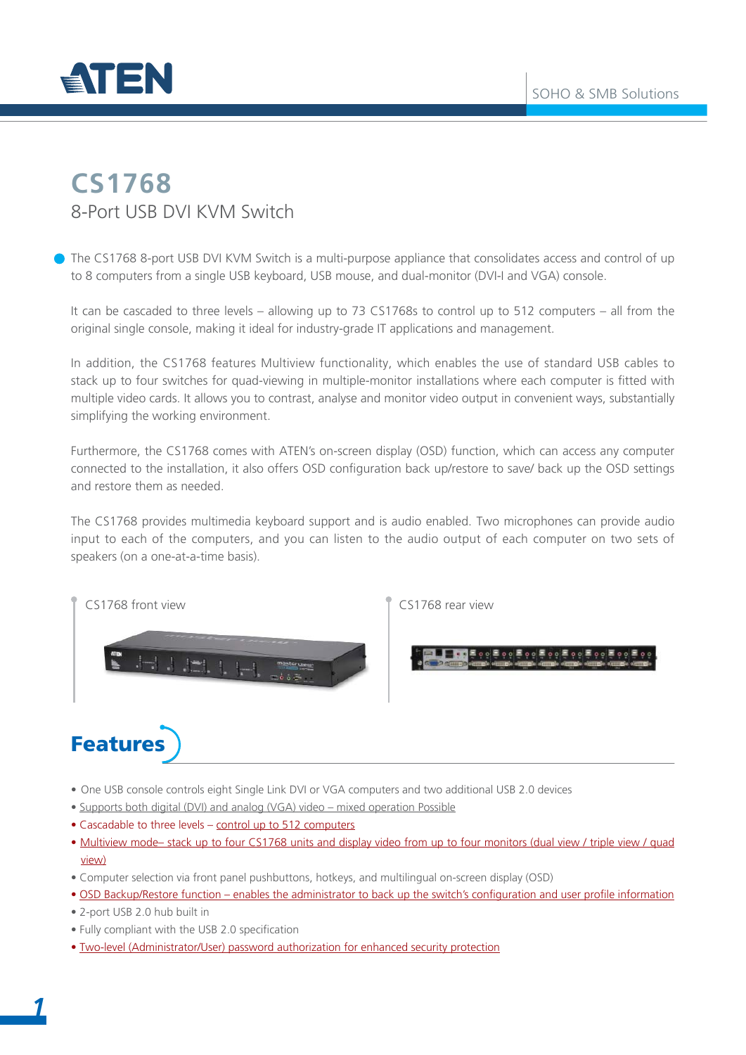

#### **CS1768** 8-Port USB DVI KVM Switch

The CS1768 8-port USB DVI KVM Switch is a multi-purpose appliance that consolidates access and control of up to 8 computers from a single USB keyboard, USB mouse, and dual-monitor (DVI-I and VGA) console.

It can be cascaded to three levels – allowing up to 73 CS1768s to control up to 512 computers – all from the original single console, making it ideal for industry-grade IT applications and management.

In addition, the CS1768 features Multiview functionality, which enables the use of standard USB cables to stack up to four switches for quad-viewing in multiple-monitor installations where each computer is fitted with multiple video cards. It allows you to contrast, analyse and monitor video output in convenient ways, substantially simplifying the working environment.

Furthermore, the CS1768 comes with ATEN's on-screen display (OSD) function, which can access any computer connected to the installation, it also offers OSD configuration back up/restore to save/ back up the OSD settings and restore them as needed.

The CS1768 provides multimedia keyboard support and is audio enabled. Two microphones can provide audio input to each of the computers, and you can listen to the audio output of each computer on two sets of speakers (on a one-at-a-time basis).





# Features

- One USB console controls eight Single Link DVI or VGA computers and two additional USB 2.0 devices
- Supports both digital (DVI) and analog (VGA) video mixed operation Possible
- Cascadable to three levels control up to 512 computers
- Multiview mode– stack up to four CS1768 units and display video from up to four monitors (dual view / triple view / quad view)
- Computer selection via front panel pushbuttons, hotkeys, and multilingual on-screen display (OSD)
- OSD Backup/Restore function enables the administrator to back up the switch's configuration and user profile information
- 2-port USB 2.0 hub built in
- Fully compliant with the USB 2.0 specification
- Two-level (Administrator/User) password authorization for enhanced security protection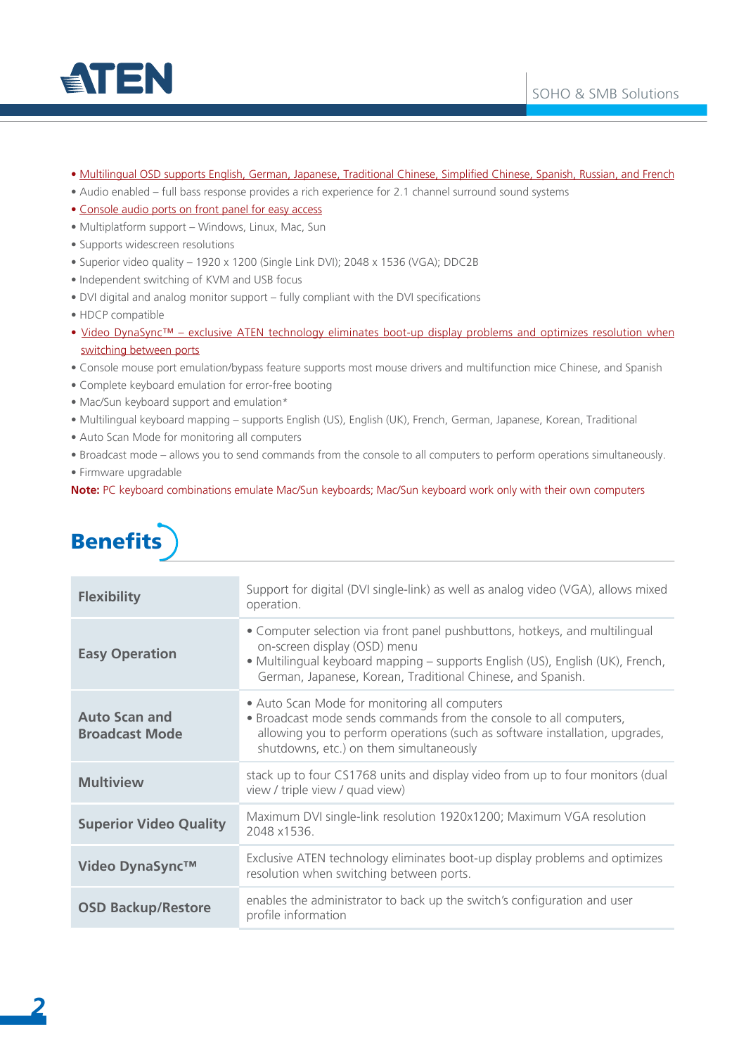

- Multilingual OSD supports English, German, Japanese, Traditional Chinese, Simplified Chinese, Spanish, Russian, and French
- Audio enabled full bass response provides a rich experience for 2.1 channel surround sound systems
- Console audio ports on front panel for easy access
- Multiplatform support Windows, Linux, Mac, Sun
- Supports widescreen resolutions
- Superior video quality 1920 x 1200 (Single Link DVI); 2048 x 1536 (VGA); DDC2B
- Independent switching of KVM and USB focus
- DVI digital and analog monitor support fully compliant with the DVI specifications
- HDCP compatible
- Video DynaSync™ exclusive ATEN technology eliminates boot-up display problems and optimizes resolution when switching between ports
- Console mouse port emulation/bypass feature supports most mouse drivers and multifunction mice Chinese, and Spanish
- Complete keyboard emulation for error-free booting
- Mac/Sun keyboard support and emulation\*
- Multilingual keyboard mapping supports English (US), English (UK), French, German, Japanese, Korean, Traditional
- Auto Scan Mode for monitoring all computers
- Broadcast mode allows you to send commands from the console to all computers to perform operations simultaneously.
- Firmware upgradable

**Note:** PC keyboard combinations emulate Mac/Sun keyboards; Mac/Sun keyboard work only with their own computers

### **Benefits**

| <b>Flexibility</b>                            | Support for digital (DVI single-link) as well as analog video (VGA), allows mixed<br>operation.                                                                                                                                                              |  |  |
|-----------------------------------------------|--------------------------------------------------------------------------------------------------------------------------------------------------------------------------------------------------------------------------------------------------------------|--|--|
| <b>Easy Operation</b>                         | • Computer selection via front panel pushbuttons, hotkeys, and multilingual<br>on-screen display (OSD) menu<br>• Multilingual keyboard mapping - supports English (US), English (UK), French,<br>German, Japanese, Korean, Traditional Chinese, and Spanish. |  |  |
| <b>Auto Scan and</b><br><b>Broadcast Mode</b> | • Auto Scan Mode for monitoring all computers<br>• Broadcast mode sends commands from the console to all computers,<br>allowing you to perform operations (such as software installation, upgrades,<br>shutdowns, etc.) on them simultaneously               |  |  |
| <b>Multiview</b>                              | stack up to four CS1768 units and display video from up to four monitors (dual<br>view / triple view / quad view)                                                                                                                                            |  |  |
| <b>Superior Video Quality</b>                 | Maximum DVI single-link resolution 1920x1200; Maximum VGA resolution<br>2048 x1536.                                                                                                                                                                          |  |  |
| Video DynaSync™                               | Exclusive ATEN technology eliminates boot-up display problems and optimizes<br>resolution when switching between ports.                                                                                                                                      |  |  |
| <b>OSD Backup/Restore</b>                     | enables the administrator to back up the switch's configuration and user<br>profile information                                                                                                                                                              |  |  |